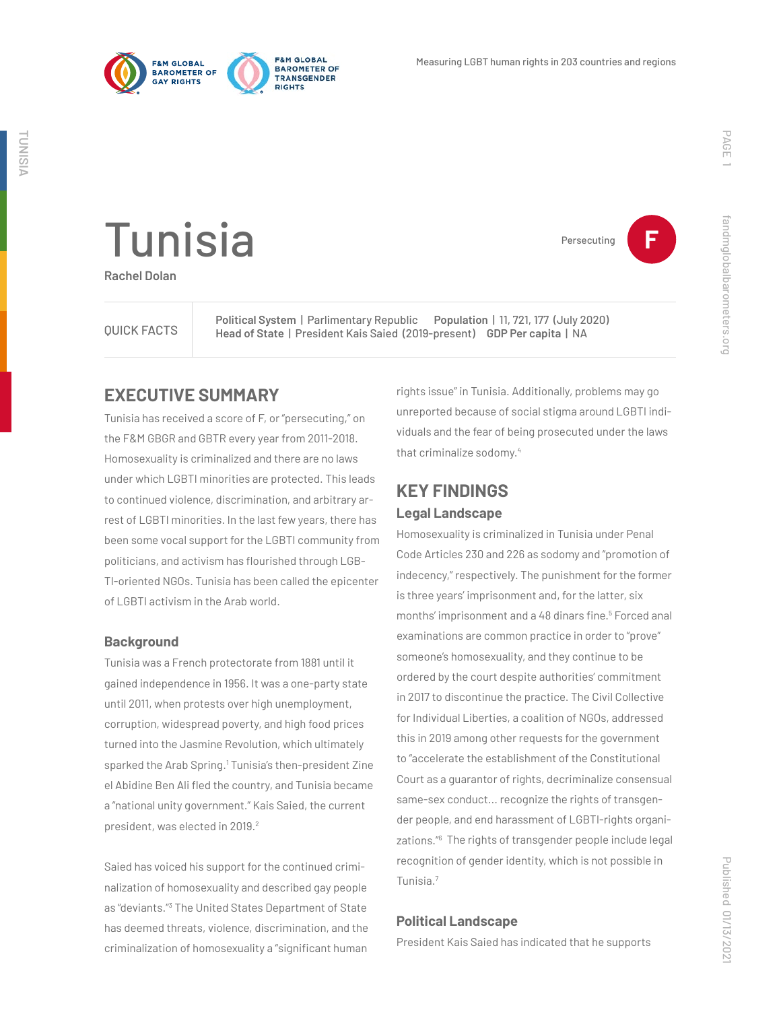

**FRM GLORAL** 

**PIGHTS** 

**BAROMETER OF** 

TRANSGENDER



Persecuting **F**

# Tunisia

**Rachel Dolan**

QUICK FACTS

**Political System** | Parlimentary Republic **Population** | 11, 721, 177 (July 2020) **Head of State** | President Kais Saied (2019-present) **GDP Per capita** | NA

### **EXECUTIVE SUMMARY**

Tunisia has received a score of F, or "persecuting," on the F&M GBGR and GBTR every year from 2011-2018. Homosexuality is criminalized and there are no laws under which LGBTI minorities are protected. This leads to continued violence, discrimination, and arbitrary arrest of LGBTI minorities. In the last few years, there has been some vocal support for the LGBTI community from politicians, and activism has flourished through LGB-TI-oriented NGOs. Tunisia has been called the epicenter of LGBTI activism in the Arab world.

#### **Background**

Tunisia was a French protectorate from 1881 until it gained independence in 1956. It was a one-party state until 2011, when protests over high unemployment, corruption, widespread poverty, and high food prices turned into the Jasmine Revolution, which ultimately sparked the Arab Spring.<sup>1</sup> Tunisia's then-president Zine el Abidine Ben Ali fled the country, and Tunisia became a "national unity government." Kais Saied, the current president, was elected in 2019.<sup>2</sup>

Saied has voiced his support for the continued criminalization of homosexuality and described gay people as "deviants."3 The United States Department of State has deemed threats, violence, discrimination, and the criminalization of homosexuality a "significant human rights issue" in Tunisia. Additionally, problems may go unreported because of social stigma around LGBTI individuals and the fear of being prosecuted under the laws that criminalize sodomy.4

# **KEY FINDINGS Legal Landscape**

Homosexuality is criminalized in Tunisia under Penal Code Articles 230 and 226 as sodomy and "promotion of indecency," respectively. The punishment for the former is three years' imprisonment and, for the latter, six months' imprisonment and a 48 dinars fine.<sup>5</sup> Forced anal examinations are common practice in order to "prove" someone's homosexuality, and they continue to be ordered by the court despite authorities' commitment in 2017 to discontinue the practice. The Civil Collective for Individual Liberties, a coalition of NGOs, addressed this in 2019 among other requests for the government to "accelerate the establishment of the Constitutional Court as a guarantor of rights, decriminalize consensual same-sex conduct... recognize the rights of transgender people, and end harassment of LGBTI-rights organizations."6 The rights of transgender people include legal recognition of gender identity, which is not possible in Tunisia.7

#### **Political Landscape**

President Kais Saied has indicated that he supports

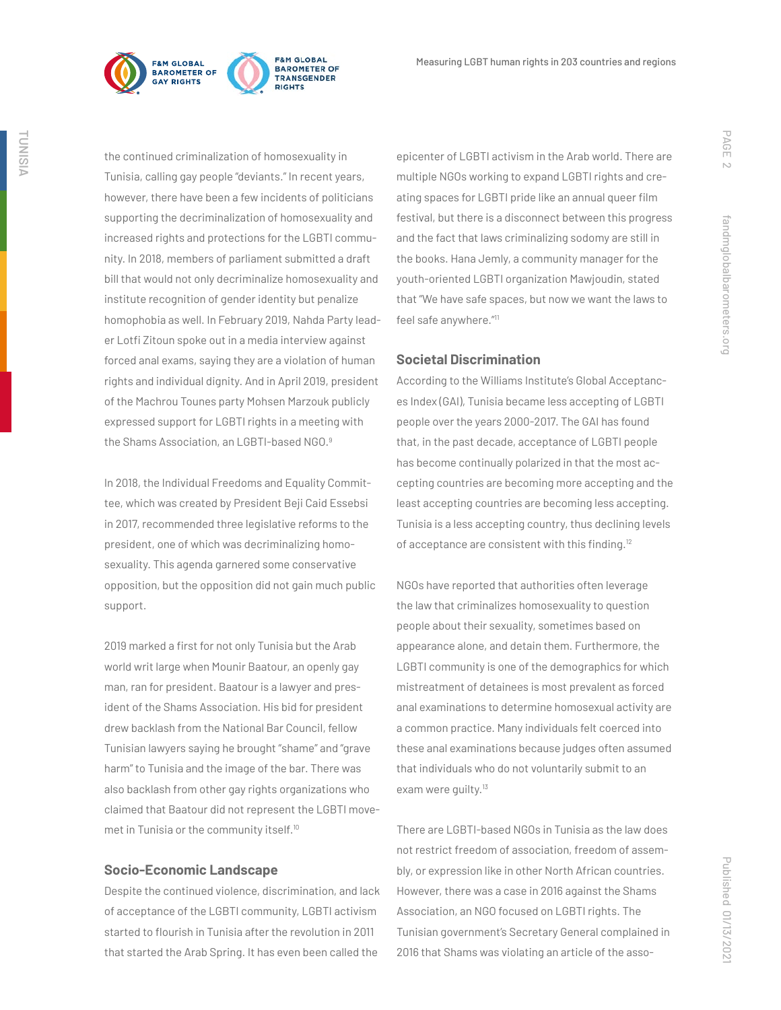

the continued criminalization of homosexuality in Tunisia, calling gay people "deviants." In recent years, however, there have been a few incidents of politicians supporting the decriminalization of homosexuality and increased rights and protections for the LGBTI community. In 2018, members of parliament submitted a draft bill that would not only decriminalize homosexuality and institute recognition of gender identity but penalize homophobia as well. In February 2019, Nahda Party leader Lotfi Zitoun spoke out in a media interview against forced anal exams, saying they are a violation of human rights and individual dignity. And in April 2019, president of the Machrou Tounes party Mohsen Marzouk publicly expressed support for LGBTI rights in a meeting with the Shams Association, an LGBTI-based NGO.<sup>9</sup>

In 2018, the Individual Freedoms and Equality Committee, which was created by President Beji Caid Essebsi in 2017, recommended three legislative reforms to the president, one of which was decriminalizing homosexuality. This agenda garnered some conservative opposition, but the opposition did not gain much public support.

2019 marked a first for not only Tunisia but the Arab world writ large when Mounir Baatour, an openly gay man, ran for president. Baatour is a lawyer and president of the Shams Association. His bid for president drew backlash from the National Bar Council, fellow Tunisian lawyers saying he brought "shame" and "grave harm" to Tunisia and the image of the bar. There was also backlash from other gay rights organizations who claimed that Baatour did not represent the LGBTI movemet in Tunisia or the community itself.<sup>10</sup>

#### **Socio-Economic Landscape**

Despite the continued violence, discrimination, and lack of acceptance of the LGBTI community, LGBTI activism started to flourish in Tunisia after the revolution in 2011 that started the Arab Spring. It has even been called the

epicenter of LGBTI activism in the Arab world. There are multiple NGOs working to expand LGBTI rights and creating spaces for LGBTI pride like an annual queer film festival, but there is a disconnect between this progress and the fact that laws criminalizing sodomy are still in the books. Hana Jemly, a community manager for the youth-oriented LGBTI organization Mawjoudin, stated that "We have safe spaces, but now we want the laws to feel safe anywhere."11

#### **Societal Discrimination**

According to the Williams Institute's Global Acceptances Index (GAI), Tunisia became less accepting of LGBTI people over the years 2000-2017. The GAI has found that, in the past decade, acceptance of LGBTI people has become continually polarized in that the most accepting countries are becoming more accepting and the least accepting countries are becoming less accepting. Tunisia is a less accepting country, thus declining levels of acceptance are consistent with this finding.<sup>12</sup>

NGOs have reported that authorities often leverage the law that criminalizes homosexuality to question people about their sexuality, sometimes based on appearance alone, and detain them. Furthermore, the LGBTI community is one of the demographics for which mistreatment of detainees is most prevalent as forced anal examinations to determine homosexual activity are a common practice. Many individuals felt coerced into these anal examinations because judges often assumed that individuals who do not voluntarily submit to an exam were quilty.<sup>13</sup>

There are LGBTI-based NGOs in Tunisia as the law does not restrict freedom of association, freedom of assembly, or expression like in other North African countries. However, there was a case in 2016 against the Shams Association, an NGO focused on LGBTI rights. The Tunisian government's Secretary General complained in 2016 that Shams was violating an article of the assoPAGE 2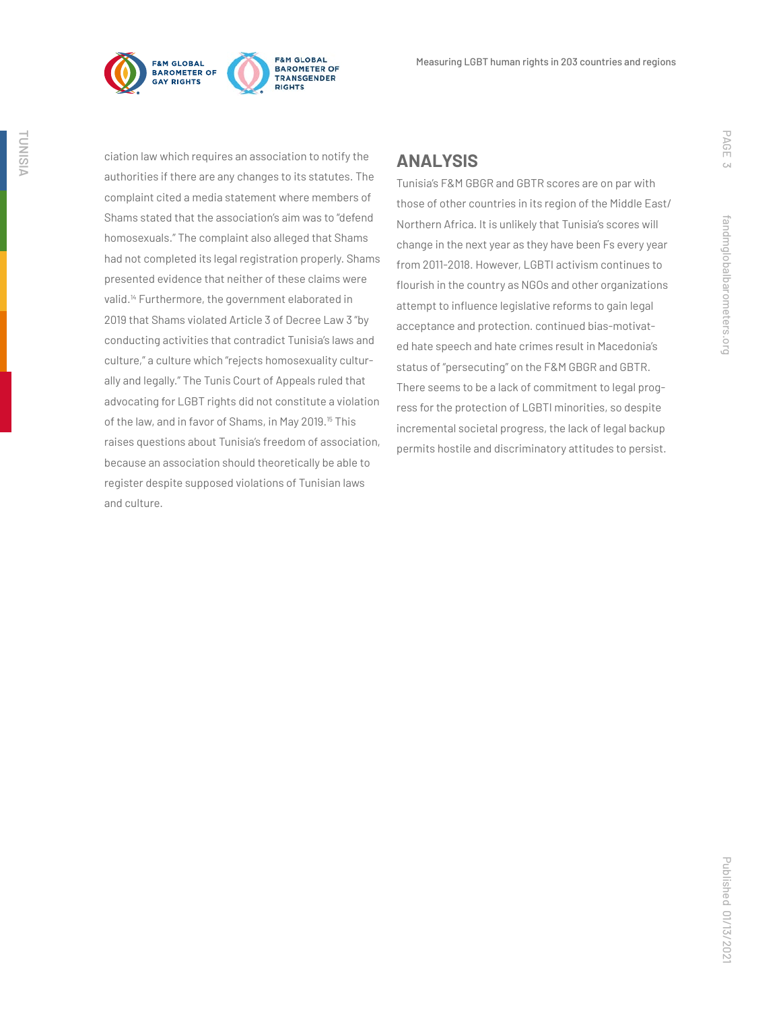

**F&M GLOBAL** BAROMETER OF TRANSGENDER **RIGHTS** 

ciation law which requires an association to notify the authorities if there are any changes to its statutes. The complaint cited a media statement where members of Shams stated that the association's aim was to "defend homosexuals." The complaint also alleged that Shams had not completed its legal registration properly. Shams presented evidence that neither of these claims were valid.14 Furthermore, the government elaborated in 2019 that Shams violated Article 3 of Decree Law 3 "by conducting activities that contradict Tunisia's laws and culture," a culture which "rejects homosexuality culturally and legally." The Tunis Court of Appeals ruled that advocating for LGBT rights did not constitute a violation of the law, and in favor of Shams, in May 2019.<sup>15</sup> This raises questions about Tunisia's freedom of association, because an association should theoretically be able to register despite supposed violations of Tunisian laws and culture.

## **ANALYSIS**

Tunisia's F&M GBGR and GBTR scores are on par with those of other countries in its region of the Middle East/ Northern Africa. It is unlikely that Tunisia's scores will change in the next year as they have been Fs every year from 2011-2018. However, LGBTI activism continues to flourish in the country as NGOs and other organizations attempt to influence legislative reforms to gain legal acceptance and protection. continued bias-motivated hate speech and hate crimes result in Macedonia's status of "persecuting" on the F&M GBGR and GBTR. There seems to be a lack of commitment to legal progress for the protection of LGBTI minorities, so despite incremental societal progress, the lack of legal backup permits hostile and discriminatory attitudes to persist.

PAGE 3

fandmglobalbarometers.org

fandmglobalbarometers.org